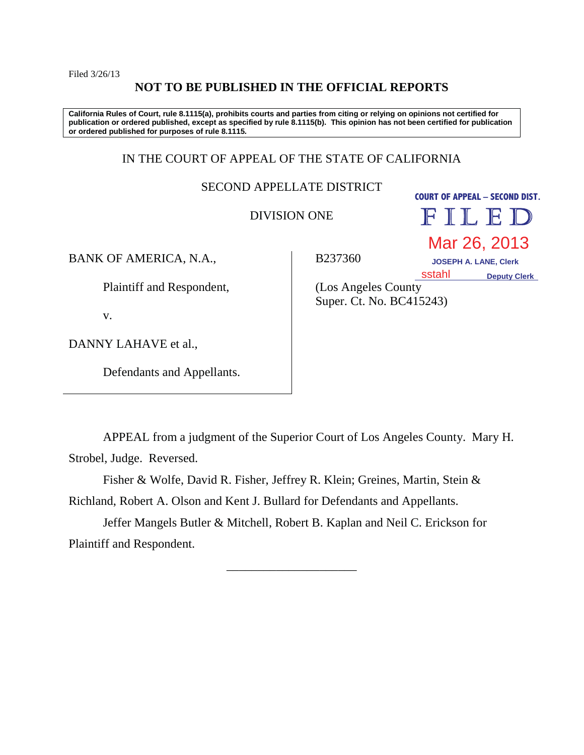Filed 3/26/13

# **NOT TO BE PUBLISHED IN THE OFFICIAL REPORTS**

**California Rules of Court, rule 8.1115(a), prohibits courts and parties from citing or relying on opinions not certified for publication or ordered published, except as specified by rule 8.1115(b). This opinion has not been certified for publication or ordered published for purposes of rule 8.1115.**

# IN THE COURT OF APPEAL OF THE STATE OF CALIFORNIA

SECOND APPELLATE DISTRICT

DIVISION ONE

**COURT OF APPEAL – SECOND DIST.**  FILED

BANK OF AMERICA, N.A.,

B237360

 **JOSEPH A. LANE, Clerk Deputy Clerk** sstahl

Mar 26, 2013

Plaintiff and Respondent,

v.

DANNY LAHAVE et al.,

Defendants and Appellants.

(Los Angeles County Super. Ct. No. BC415243)

APPEAL from a judgment of the Superior Court of Los Angeles County. Mary H. Strobel, Judge. Reversed.

Fisher & Wolfe, David R. Fisher, Jeffrey R. Klein; Greines, Martin, Stein & Richland, Robert A. Olson and Kent J. Bullard for Defendants and Appellants.

Jeffer Mangels Butler & Mitchell, Robert B. Kaplan and Neil C. Erickson for Plaintiff and Respondent.

\_\_\_\_\_\_\_\_\_\_\_\_\_\_\_\_\_\_\_\_\_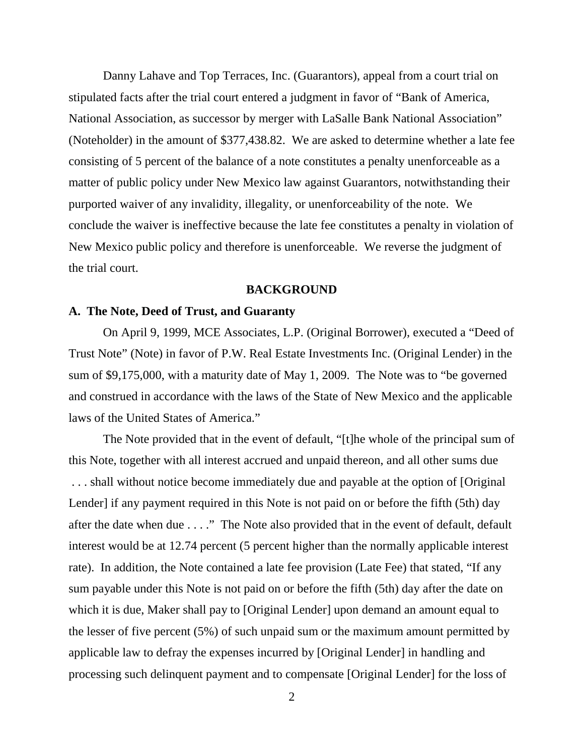Danny Lahave and Top Terraces, Inc. (Guarantors), appeal from a court trial on stipulated facts after the trial court entered a judgment in favor of "Bank of America, National Association, as successor by merger with LaSalle Bank National Association" (Noteholder) in the amount of \$377,438.82. We are asked to determine whether a late fee consisting of 5 percent of the balance of a note constitutes a penalty unenforceable as a matter of public policy under New Mexico law against Guarantors, notwithstanding their purported waiver of any invalidity, illegality, or unenforceability of the note. We conclude the waiver is ineffective because the late fee constitutes a penalty in violation of New Mexico public policy and therefore is unenforceable. We reverse the judgment of the trial court.

#### **BACKGROUND**

## **A. The Note, Deed of Trust, and Guaranty**

On April 9, 1999, MCE Associates, L.P. (Original Borrower), executed a "Deed of Trust Note" (Note) in favor of P.W. Real Estate Investments Inc. (Original Lender) in the sum of \$9,175,000, with a maturity date of May 1, 2009. The Note was to "be governed and construed in accordance with the laws of the State of New Mexico and the applicable laws of the United States of America."

The Note provided that in the event of default, "[t]he whole of the principal sum of this Note, together with all interest accrued and unpaid thereon, and all other sums due . . . shall without notice become immediately due and payable at the option of [Original Lender] if any payment required in this Note is not paid on or before the fifth (5th) day after the date when due . . . ." The Note also provided that in the event of default, default interest would be at 12.74 percent (5 percent higher than the normally applicable interest rate). In addition, the Note contained a late fee provision (Late Fee) that stated, "If any sum payable under this Note is not paid on or before the fifth (5th) day after the date on which it is due, Maker shall pay to [Original Lender] upon demand an amount equal to the lesser of five percent (5%) of such unpaid sum or the maximum amount permitted by applicable law to defray the expenses incurred by [Original Lender] in handling and processing such delinquent payment and to compensate [Original Lender] for the loss of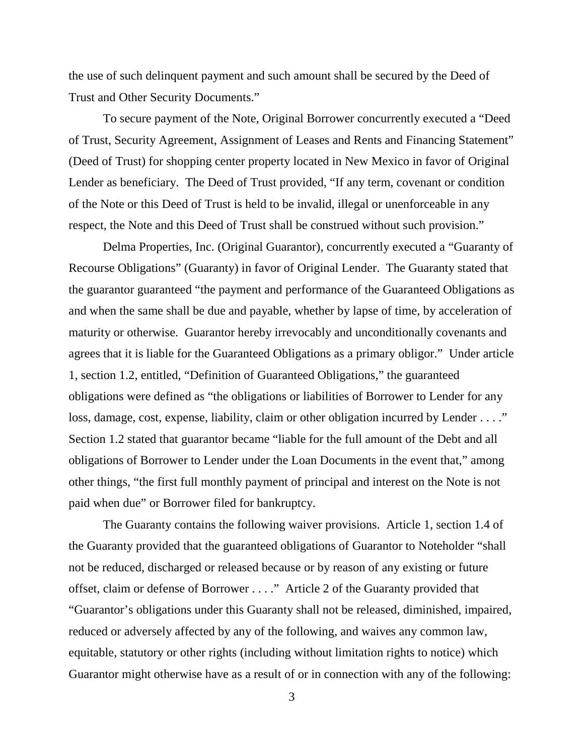the use of such delinquent payment and such amount shall be secured by the Deed of Trust and Other Security Documents."

To secure payment of the Note, Original Borrower concurrently executed a "Deed of Trust, Security Agreement, Assignment of Leases and Rents and Financing Statement" (Deed of Trust) for shopping center property located in New Mexico in favor of Original Lender as beneficiary. The Deed of Trust provided, "If any term, covenant or condition of the Note or this Deed of Trust is held to be invalid, illegal or unenforceable in any respect, the Note and this Deed of Trust shall be construed without such provision."

Delma Properties, Inc. (Original Guarantor), concurrently executed a "Guaranty of Recourse Obligations" (Guaranty) in favor of Original Lender. The Guaranty stated that the guarantor guaranteed "the payment and performance of the Guaranteed Obligations as and when the same shall be due and payable, whether by lapse of time, by acceleration of maturity or otherwise. Guarantor hereby irrevocably and unconditionally covenants and agrees that it is liable for the Guaranteed Obligations as a primary obligor." Under article 1, section 1.2, entitled, "Definition of Guaranteed Obligations," the guaranteed obligations were defined as "the obligations or liabilities of Borrower to Lender for any loss, damage, cost, expense, liability, claim or other obligation incurred by Lender . . . ." Section 1.2 stated that guarantor became "liable for the full amount of the Debt and all obligations of Borrower to Lender under the Loan Documents in the event that," among other things, "the first full monthly payment of principal and interest on the Note is not paid when due" or Borrower filed for bankruptcy.

The Guaranty contains the following waiver provisions. Article 1, section 1.4 of the Guaranty provided that the guaranteed obligations of Guarantor to Noteholder "shall not be reduced, discharged or released because or by reason of any existing or future offset, claim or defense of Borrower . . . ." Article 2 of the Guaranty provided that "Guarantor's obligations under this Guaranty shall not be released, diminished, impaired, reduced or adversely affected by any of the following, and waives any common law, equitable, statutory or other rights (including without limitation rights to notice) which Guarantor might otherwise have as a result of or in connection with any of the following: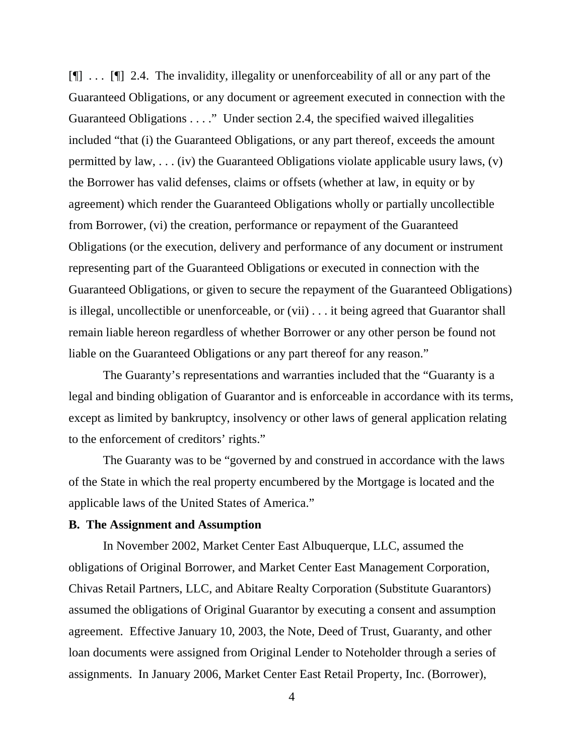[¶] . . . [¶] 2.4. The invalidity, illegality or unenforceability of all or any part of the Guaranteed Obligations, or any document or agreement executed in connection with the Guaranteed Obligations . . . ." Under section 2.4, the specified waived illegalities included "that (i) the Guaranteed Obligations, or any part thereof, exceeds the amount permitted by law, . . . (iv) the Guaranteed Obligations violate applicable usury laws, (v) the Borrower has valid defenses, claims or offsets (whether at law, in equity or by agreement) which render the Guaranteed Obligations wholly or partially uncollectible from Borrower, (vi) the creation, performance or repayment of the Guaranteed Obligations (or the execution, delivery and performance of any document or instrument representing part of the Guaranteed Obligations or executed in connection with the Guaranteed Obligations, or given to secure the repayment of the Guaranteed Obligations) is illegal, uncollectible or unenforceable, or (vii) . . . it being agreed that Guarantor shall remain liable hereon regardless of whether Borrower or any other person be found not liable on the Guaranteed Obligations or any part thereof for any reason."

The Guaranty's representations and warranties included that the "Guaranty is a legal and binding obligation of Guarantor and is enforceable in accordance with its terms, except as limited by bankruptcy, insolvency or other laws of general application relating to the enforcement of creditors' rights."

The Guaranty was to be "governed by and construed in accordance with the laws of the State in which the real property encumbered by the Mortgage is located and the applicable laws of the United States of America."

## **B. The Assignment and Assumption**

In November 2002, Market Center East Albuquerque, LLC, assumed the obligations of Original Borrower, and Market Center East Management Corporation, Chivas Retail Partners, LLC, and Abitare Realty Corporation (Substitute Guarantors) assumed the obligations of Original Guarantor by executing a consent and assumption agreement. Effective January 10, 2003, the Note, Deed of Trust, Guaranty, and other loan documents were assigned from Original Lender to Noteholder through a series of assignments. In January 2006, Market Center East Retail Property, Inc. (Borrower),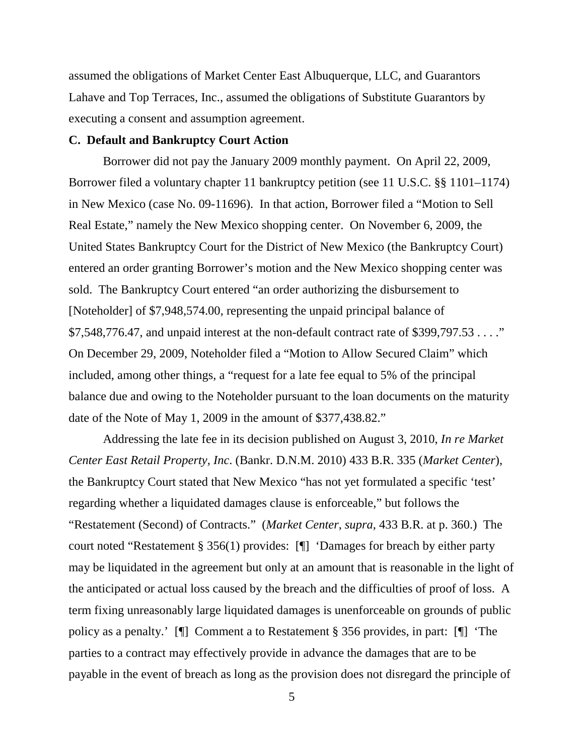assumed the obligations of Market Center East Albuquerque, LLC, and Guarantors Lahave and Top Terraces, Inc., assumed the obligations of Substitute Guarantors by executing a consent and assumption agreement.

#### **C. Default and Bankruptcy Court Action**

Borrower did not pay the January 2009 monthly payment. On April 22, 2009, Borrower filed a voluntary chapter 11 bankruptcy petition (see 11 U.S.C. §§ 1101–1174) in New Mexico (case No. 09-11696). In that action, Borrower filed a "Motion to Sell Real Estate," namely the New Mexico shopping center. On November 6, 2009, the United States Bankruptcy Court for the District of New Mexico (the Bankruptcy Court) entered an order granting Borrower's motion and the New Mexico shopping center was sold. The Bankruptcy Court entered "an order authorizing the disbursement to [Noteholder] of \$7,948,574.00, representing the unpaid principal balance of \$7,548,776.47, and unpaid interest at the non-default contract rate of \$399,797.53 . . . ." On December 29, 2009, Noteholder filed a "Motion to Allow Secured Claim" which included, among other things, a "request for a late fee equal to 5% of the principal balance due and owing to the Noteholder pursuant to the loan documents on the maturity date of the Note of May 1, 2009 in the amount of \$377,438.82."

Addressing the late fee in its decision published on August 3, 2010, *In re Market Center East Retail Property, Inc*. (Bankr. D.N.M. 2010) 433 B.R. 335 (*Market Center*), the Bankruptcy Court stated that New Mexico "has not yet formulated a specific 'test' regarding whether a liquidated damages clause is enforceable," but follows the "Restatement (Second) of Contracts." (*Market Center*, *supra*, 433 B.R. at p. 360.) The court noted "Restatement § 356(1) provides: [¶] 'Damages for breach by either party may be liquidated in the agreement but only at an amount that is reasonable in the light of the anticipated or actual loss caused by the breach and the difficulties of proof of loss. A term fixing unreasonably large liquidated damages is unenforceable on grounds of public policy as a penalty.' [¶] Comment a to Restatement § 356 provides, in part: [¶] 'The parties to a contract may effectively provide in advance the damages that are to be payable in the event of breach as long as the provision does not disregard the principle of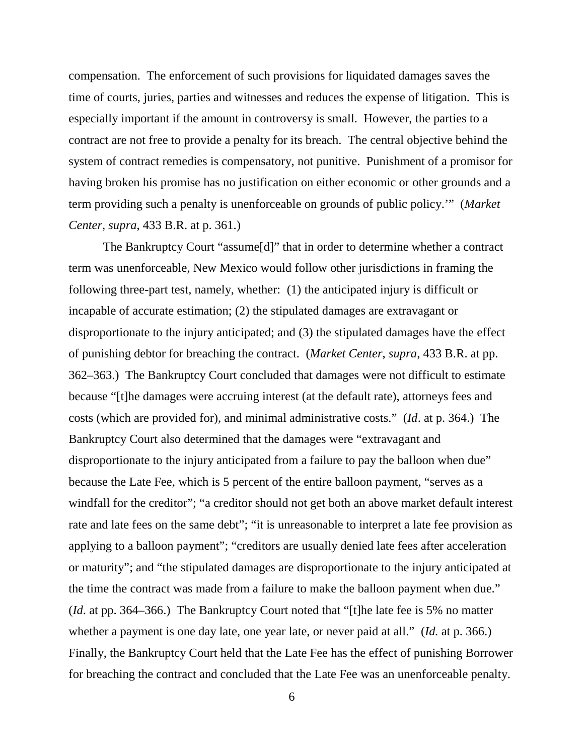compensation. The enforcement of such provisions for liquidated damages saves the time of courts, juries, parties and witnesses and reduces the expense of litigation. This is especially important if the amount in controversy is small. However, the parties to a contract are not free to provide a penalty for its breach. The central objective behind the system of contract remedies is compensatory, not punitive. Punishment of a promisor for having broken his promise has no justification on either economic or other grounds and a term providing such a penalty is unenforceable on grounds of public policy.'" (*Market Center*, *supra*, 433 B.R. at p. 361.)

The Bankruptcy Court "assume[d]" that in order to determine whether a contract term was unenforceable, New Mexico would follow other jurisdictions in framing the following three-part test, namely, whether: (1) the anticipated injury is difficult or incapable of accurate estimation; (2) the stipulated damages are extravagant or disproportionate to the injury anticipated; and (3) the stipulated damages have the effect of punishing debtor for breaching the contract. (*Market Center*, *supra*, 433 B.R. at pp. 362–363.) The Bankruptcy Court concluded that damages were not difficult to estimate because "[t]he damages were accruing interest (at the default rate), attorneys fees and costs (which are provided for), and minimal administrative costs." (*Id*. at p. 364.) The Bankruptcy Court also determined that the damages were "extravagant and disproportionate to the injury anticipated from a failure to pay the balloon when due" because the Late Fee, which is 5 percent of the entire balloon payment, "serves as a windfall for the creditor"; "a creditor should not get both an above market default interest rate and late fees on the same debt"; "it is unreasonable to interpret a late fee provision as applying to a balloon payment"; "creditors are usually denied late fees after acceleration or maturity"; and "the stipulated damages are disproportionate to the injury anticipated at the time the contract was made from a failure to make the balloon payment when due." (*Id*. at pp. 364–366.) The Bankruptcy Court noted that "[t]he late fee is 5% no matter whether a payment is one day late, one year late, or never paid at all." (*Id.* at p. 366.) Finally, the Bankruptcy Court held that the Late Fee has the effect of punishing Borrower for breaching the contract and concluded that the Late Fee was an unenforceable penalty.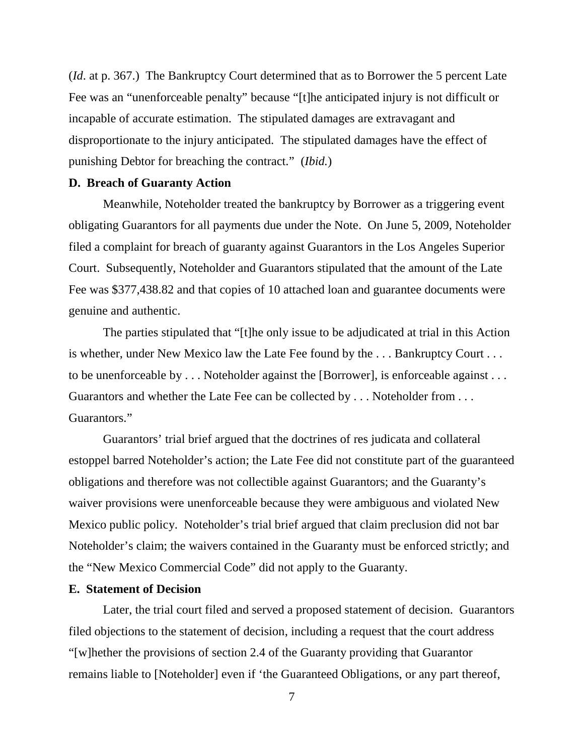(*Id*. at p. 367.) The Bankruptcy Court determined that as to Borrower the 5 percent Late Fee was an "unenforceable penalty" because "[t]he anticipated injury is not difficult or incapable of accurate estimation. The stipulated damages are extravagant and disproportionate to the injury anticipated. The stipulated damages have the effect of punishing Debtor for breaching the contract." (*Ibid.*)

## **D. Breach of Guaranty Action**

Meanwhile, Noteholder treated the bankruptcy by Borrower as a triggering event obligating Guarantors for all payments due under the Note. On June 5, 2009, Noteholder filed a complaint for breach of guaranty against Guarantors in the Los Angeles Superior Court. Subsequently, Noteholder and Guarantors stipulated that the amount of the Late Fee was \$377,438.82 and that copies of 10 attached loan and guarantee documents were genuine and authentic.

The parties stipulated that "[t]he only issue to be adjudicated at trial in this Action is whether, under New Mexico law the Late Fee found by the . . . Bankruptcy Court . . . to be unenforceable by . . . Noteholder against the [Borrower], is enforceable against . . . Guarantors and whether the Late Fee can be collected by . . . Noteholder from . . . Guarantors."

Guarantors' trial brief argued that the doctrines of res judicata and collateral estoppel barred Noteholder's action; the Late Fee did not constitute part of the guaranteed obligations and therefore was not collectible against Guarantors; and the Guaranty's waiver provisions were unenforceable because they were ambiguous and violated New Mexico public policy. Noteholder's trial brief argued that claim preclusion did not bar Noteholder's claim; the waivers contained in the Guaranty must be enforced strictly; and the "New Mexico Commercial Code" did not apply to the Guaranty.

# **E. Statement of Decision**

Later, the trial court filed and served a proposed statement of decision. Guarantors filed objections to the statement of decision, including a request that the court address "[w]hether the provisions of section 2.4 of the Guaranty providing that Guarantor remains liable to [Noteholder] even if 'the Guaranteed Obligations, or any part thereof,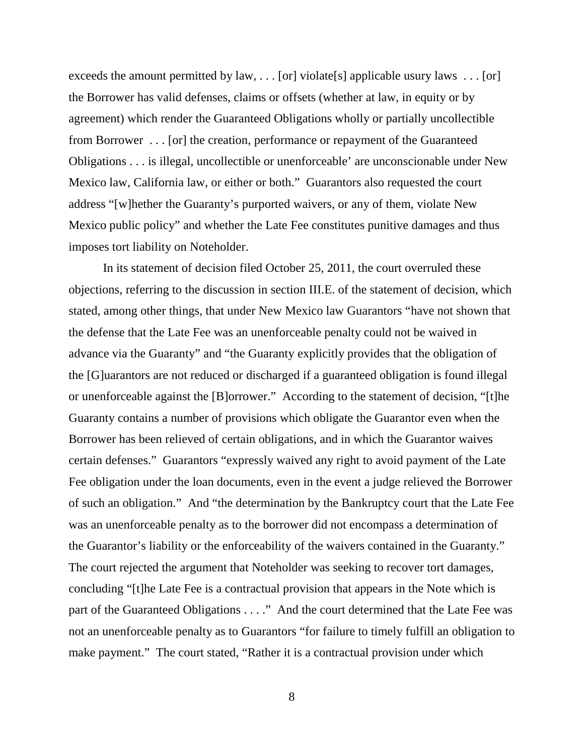exceeds the amount permitted by law,  $\ldots$  [or] violate[s] applicable usury laws  $\ldots$  [or] the Borrower has valid defenses, claims or offsets (whether at law, in equity or by agreement) which render the Guaranteed Obligations wholly or partially uncollectible from Borrower . . . [or] the creation, performance or repayment of the Guaranteed Obligations . . . is illegal, uncollectible or unenforceable' are unconscionable under New Mexico law, California law, or either or both." Guarantors also requested the court address "[w]hether the Guaranty's purported waivers, or any of them, violate New Mexico public policy" and whether the Late Fee constitutes punitive damages and thus imposes tort liability on Noteholder.

In its statement of decision filed October 25, 2011, the court overruled these objections, referring to the discussion in section III.E. of the statement of decision, which stated, among other things, that under New Mexico law Guarantors "have not shown that the defense that the Late Fee was an unenforceable penalty could not be waived in advance via the Guaranty" and "the Guaranty explicitly provides that the obligation of the [G]uarantors are not reduced or discharged if a guaranteed obligation is found illegal or unenforceable against the [B]orrower." According to the statement of decision, "[t]he Guaranty contains a number of provisions which obligate the Guarantor even when the Borrower has been relieved of certain obligations, and in which the Guarantor waives certain defenses." Guarantors "expressly waived any right to avoid payment of the Late Fee obligation under the loan documents, even in the event a judge relieved the Borrower of such an obligation." And "the determination by the Bankruptcy court that the Late Fee was an unenforceable penalty as to the borrower did not encompass a determination of the Guarantor's liability or the enforceability of the waivers contained in the Guaranty." The court rejected the argument that Noteholder was seeking to recover tort damages, concluding "[t]he Late Fee is a contractual provision that appears in the Note which is part of the Guaranteed Obligations . . . ." And the court determined that the Late Fee was not an unenforceable penalty as to Guarantors "for failure to timely fulfill an obligation to make payment." The court stated, "Rather it is a contractual provision under which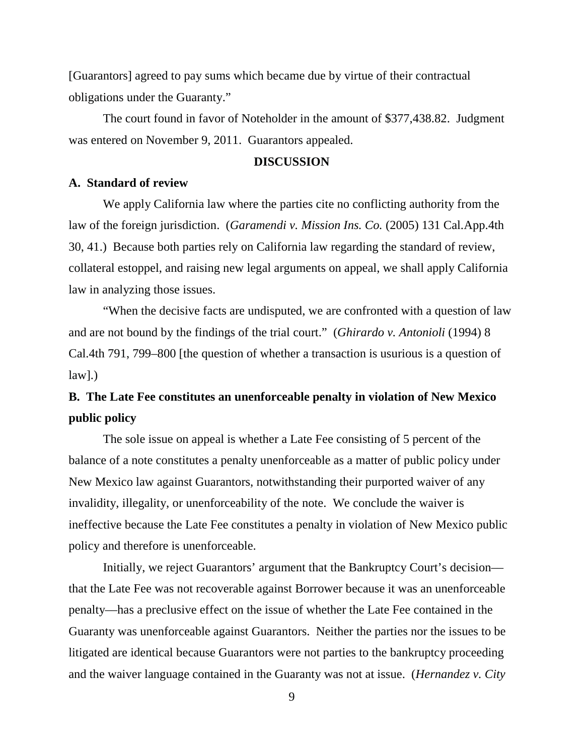[Guarantors] agreed to pay sums which became due by virtue of their contractual obligations under the Guaranty."

The court found in favor of Noteholder in the amount of \$377,438.82. Judgment was entered on November 9, 2011. Guarantors appealed.

#### **DISCUSSION**

# **A. Standard of review**

We apply California law where the parties cite no conflicting authority from the law of the foreign jurisdiction. (*Garamendi v. Mission Ins. Co.* (2005) 131 Cal.App.4th 30, 41.) Because both parties rely on California law regarding the standard of review, collateral estoppel, and raising new legal arguments on appeal, we shall apply California law in analyzing those issues.

"When the decisive facts are undisputed, we are confronted with a question of law and are not bound by the findings of the trial court." (*Ghirardo v. Antonioli* (1994) 8 Cal.4th 791, 799–800 [the question of whether a transaction is usurious is a question of  $law$ ].)

# **B. The Late Fee constitutes an unenforceable penalty in violation of New Mexico public policy**

The sole issue on appeal is whether a Late Fee consisting of 5 percent of the balance of a note constitutes a penalty unenforceable as a matter of public policy under New Mexico law against Guarantors, notwithstanding their purported waiver of any invalidity, illegality, or unenforceability of the note. We conclude the waiver is ineffective because the Late Fee constitutes a penalty in violation of New Mexico public policy and therefore is unenforceable.

Initially, we reject Guarantors' argument that the Bankruptcy Court's decision–– that the Late Fee was not recoverable against Borrower because it was an unenforceable penalty––has a preclusive effect on the issue of whether the Late Fee contained in the Guaranty was unenforceable against Guarantors. Neither the parties nor the issues to be litigated are identical because Guarantors were not parties to the bankruptcy proceeding and the waiver language contained in the Guaranty was not at issue. (*Hernandez v. City*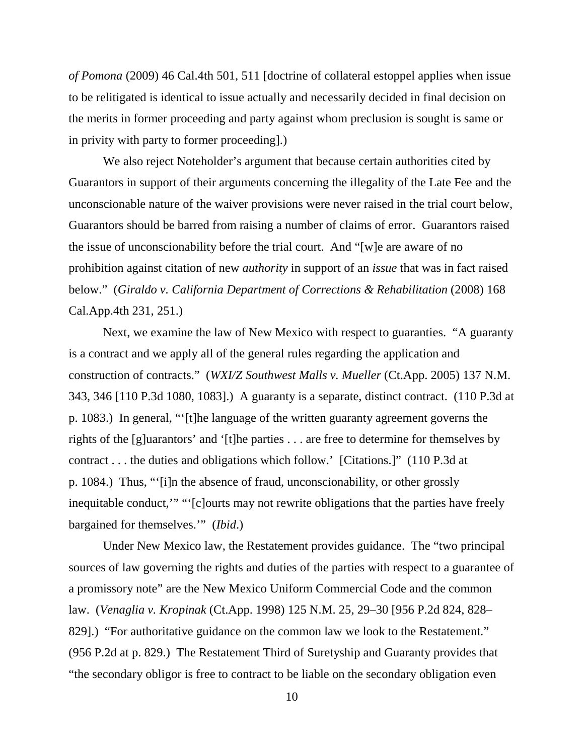*of Pomona* (2009) 46 Cal.4th 501, 511 [doctrine of collateral estoppel applies when issue to be relitigated is identical to issue actually and necessarily decided in final decision on the merits in former proceeding and party against whom preclusion is sought is same or in privity with party to former proceeding].)

We also reject Noteholder's argument that because certain authorities cited by Guarantors in support of their arguments concerning the illegality of the Late Fee and the unconscionable nature of the waiver provisions were never raised in the trial court below, Guarantors should be barred from raising a number of claims of error. Guarantors raised the issue of unconscionability before the trial court. And "[w]e are aware of no prohibition against citation of new *authority* in support of an *issue* that was in fact raised below." (*Giraldo v. California Department of Corrections & Rehabilitation* (2008) 168 Cal.App.4th 231, 251.)

Next, we examine the law of New Mexico with respect to guaranties. "A guaranty is a contract and we apply all of the general rules regarding the application and construction of contracts." (*WXI/Z Southwest Malls v. Mueller* (Ct.App. 2005) 137 N.M. 343, 346 [110 P.3d 1080, 1083].) A guaranty is a separate, distinct contract. (110 P.3d at p. 1083.) In general, "'[t]he language of the written guaranty agreement governs the rights of the [g]uarantors' and '[t]he parties . . . are free to determine for themselves by contract . . . the duties and obligations which follow.' [Citations.]" (110 P.3d at p. 1084.) Thus, "'[i]n the absence of fraud, unconscionability, or other grossly inequitable conduct,'" "'[c]ourts may not rewrite obligations that the parties have freely bargained for themselves.'" (*Ibid*.)

Under New Mexico law, the Restatement provides guidance. The "two principal sources of law governing the rights and duties of the parties with respect to a guarantee of a promissory note" are the New Mexico Uniform Commercial Code and the common law. (*Venaglia v. Kropinak* (Ct.App. 1998) 125 N.M. 25, 29–30 [956 P.2d 824, 828– 829].) "For authoritative guidance on the common law we look to the Restatement." (956 P.2d at p. 829.) The Restatement Third of Suretyship and Guaranty provides that "the secondary obligor is free to contract to be liable on the secondary obligation even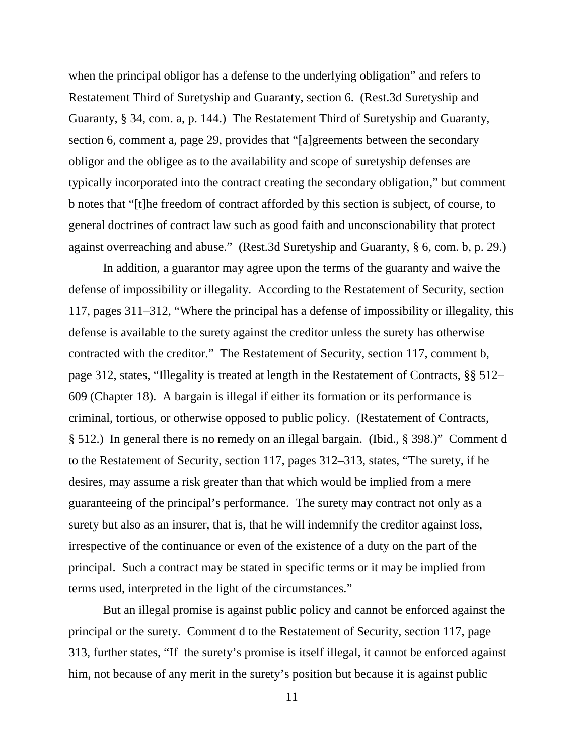when the principal obligor has a defense to the underlying obligation" and refers to Restatement Third of Suretyship and Guaranty, section 6. (Rest.3d Suretyship and Guaranty, § 34, com. a, p. 144.) The Restatement Third of Suretyship and Guaranty, section 6, comment a, page 29, provides that "[a]greements between the secondary obligor and the obligee as to the availability and scope of suretyship defenses are typically incorporated into the contract creating the secondary obligation," but comment b notes that "[t]he freedom of contract afforded by this section is subject, of course, to general doctrines of contract law such as good faith and unconscionability that protect against overreaching and abuse." (Rest.3d Suretyship and Guaranty, § 6, com. b, p. 29.)

In addition, a guarantor may agree upon the terms of the guaranty and waive the defense of impossibility or illegality. According to the Restatement of Security, section 117, pages 311–312, "Where the principal has a defense of impossibility or illegality, this defense is available to the surety against the creditor unless the surety has otherwise contracted with the creditor." The Restatement of Security, section 117, comment b, page 312, states, "Illegality is treated at length in the Restatement of Contracts, §§ 512– 609 (Chapter 18). A bargain is illegal if either its formation or its performance is criminal, tortious, or otherwise opposed to public policy. (Restatement of Contracts, § 512.) In general there is no remedy on an illegal bargain. (Ibid., § 398.)" Comment d to the Restatement of Security, section 117, pages 312–313, states, "The surety, if he desires, may assume a risk greater than that which would be implied from a mere guaranteeing of the principal's performance. The surety may contract not only as a surety but also as an insurer, that is, that he will indemnify the creditor against loss, irrespective of the continuance or even of the existence of a duty on the part of the principal. Such a contract may be stated in specific terms or it may be implied from terms used, interpreted in the light of the circumstances."

But an illegal promise is against public policy and cannot be enforced against the principal or the surety. Comment d to the Restatement of Security, section 117, page 313, further states, "If the surety's promise is itself illegal, it cannot be enforced against him, not because of any merit in the surety's position but because it is against public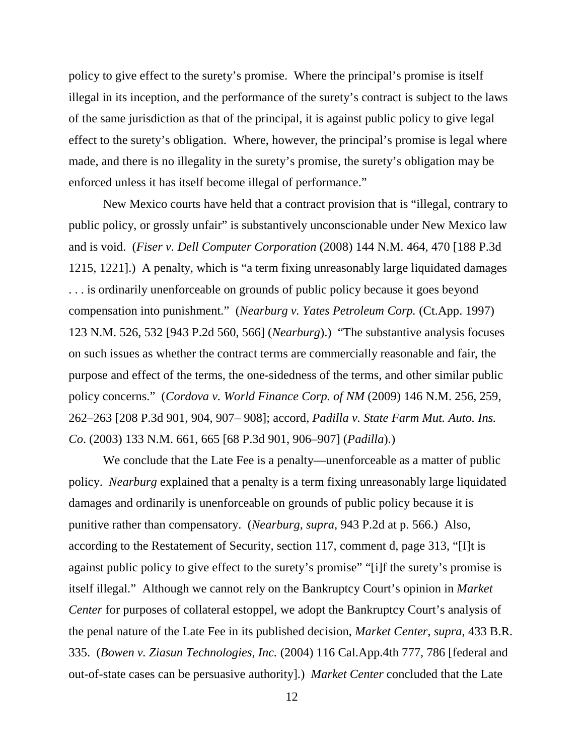policy to give effect to the surety's promise. Where the principal's promise is itself illegal in its inception, and the performance of the surety's contract is subject to the laws of the same jurisdiction as that of the principal, it is against public policy to give legal effect to the surety's obligation. Where, however, the principal's promise is legal where made, and there is no illegality in the surety's promise, the surety's obligation may be enforced unless it has itself become illegal of performance."

New Mexico courts have held that a contract provision that is "illegal, contrary to public policy, or grossly unfair" is substantively unconscionable under New Mexico law and is void. (*Fiser v. Dell Computer Corporation* (2008) 144 N.M. 464, 470 [188 P.3d 1215, 1221].) A penalty, which is "a term fixing unreasonably large liquidated damages . . . is ordinarily unenforceable on grounds of public policy because it goes beyond compensation into punishment." (*Nearburg v. Yates Petroleum Corp.* (Ct.App. 1997) 123 N.M. 526, 532 [943 P.2d 560, 566] (*Nearburg*).) "The substantive analysis focuses on such issues as whether the contract terms are commercially reasonable and fair, the purpose and effect of the terms, the one-sidedness of the terms, and other similar public policy concerns." (*Cordova v. World Finance Corp. of NM* (2009) 146 N.M. 256, 259, 262–263 [208 P.3d 901, 904, 907– 908]; accord, *Padilla v. State Farm Mut. Auto. Ins. Co*. (2003) 133 N.M. 661, 665 [68 P.3d 901, 906–907] (*Padilla*).)

We conclude that the Late Fee is a penalty—unenforceable as a matter of public policy. *Nearburg* explained that a penalty is a term fixing unreasonably large liquidated damages and ordinarily is unenforceable on grounds of public policy because it is punitive rather than compensatory. (*Nearburg*, *supra*, 943 P.2d at p. 566.) Also, according to the Restatement of Security, section 117, comment d, page 313, "[I]t is against public policy to give effect to the surety's promise" "[i]f the surety's promise is itself illegal." Although we cannot rely on the Bankruptcy Court's opinion in *Market Center* for purposes of collateral estoppel, we adopt the Bankruptcy Court's analysis of the penal nature of the Late Fee in its published decision, *Market Center*, *supra*, 433 B.R. 335. (*Bowen v. Ziasun Technologies, Inc.* (2004) 116 Cal.App.4th 777, 786 [federal and out-of-state cases can be persuasive authority].) *Market Center* concluded that the Late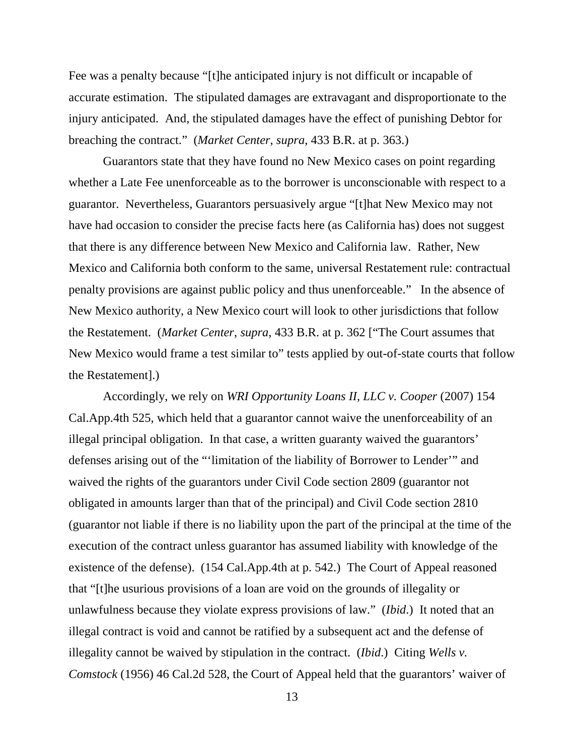Fee was a penalty because "[t]he anticipated injury is not difficult or incapable of accurate estimation. The stipulated damages are extravagant and disproportionate to the injury anticipated. And, the stipulated damages have the effect of punishing Debtor for breaching the contract." (*Market Center*, *supra*, 433 B.R. at p. 363.)

Guarantors state that they have found no New Mexico cases on point regarding whether a Late Fee unenforceable as to the borrower is unconscionable with respect to a guarantor. Nevertheless, Guarantors persuasively argue "[t]hat New Mexico may not have had occasion to consider the precise facts here (as California has) does not suggest that there is any difference between New Mexico and California law. Rather, New Mexico and California both conform to the same, universal Restatement rule: contractual penalty provisions are against public policy and thus unenforceable." In the absence of New Mexico authority, a New Mexico court will look to other jurisdictions that follow the Restatement. (*Market Center*, *supra*, 433 B.R. at p. 362 ["The Court assumes that New Mexico would frame a test similar to" tests applied by out-of-state courts that follow the Restatement].)

Accordingly, we rely on *WRI Opportunity Loans II, LLC v. Cooper* (2007) 154 Cal.App.4th 525, which held that a guarantor cannot waive the unenforceability of an illegal principal obligation. In that case, a written guaranty waived the guarantors' defenses arising out of the "'limitation of the liability of Borrower to Lender'" and waived the rights of the guarantors under Civil Code section 2809 (guarantor not obligated in amounts larger than that of the principal) and Civil Code section 2810 (guarantor not liable if there is no liability upon the part of the principal at the time of the execution of the contract unless guarantor has assumed liability with knowledge of the existence of the defense). (154 Cal.App.4th at p. 542.) The Court of Appeal reasoned that "[t]he usurious provisions of a loan are void on the grounds of illegality or unlawfulness because they violate express provisions of law." (*Ibid*.) It noted that an illegal contract is void and cannot be ratified by a subsequent act and the defense of illegality cannot be waived by stipulation in the contract. (*Ibid*.) Citing *Wells v. Comstock* (1956) 46 Cal.2d 528, the Court of Appeal held that the guarantors' waiver of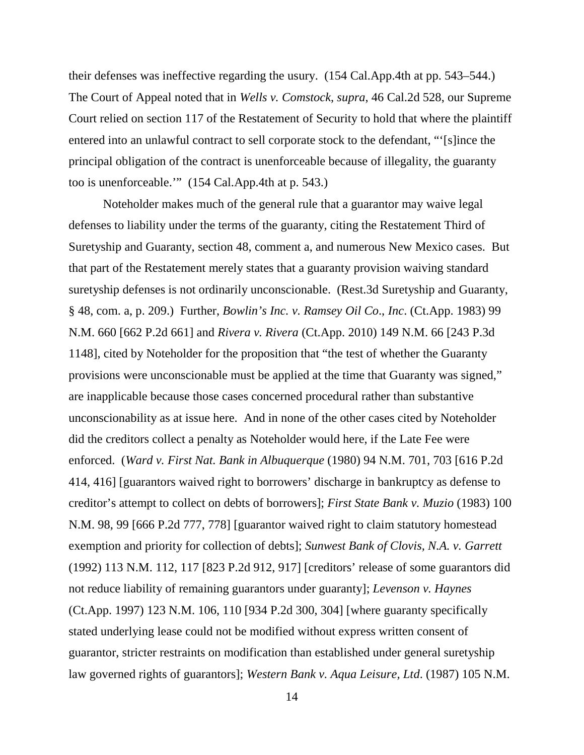their defenses was ineffective regarding the usury. (154 Cal.App.4th at pp. 543–544.) The Court of Appeal noted that in *Wells v. Comstock*, *supra*, 46 Cal.2d 528, our Supreme Court relied on section 117 of the Restatement of Security to hold that where the plaintiff entered into an unlawful contract to sell corporate stock to the defendant, "'[s]ince the principal obligation of the contract is unenforceable because of illegality, the guaranty too is unenforceable.'" (154 Cal.App.4th at p. 543.)

Noteholder makes much of the general rule that a guarantor may waive legal defenses to liability under the terms of the guaranty, citing the Restatement Third of Suretyship and Guaranty, section 48, comment a, and numerous New Mexico cases. But that part of the Restatement merely states that a guaranty provision waiving standard suretyship defenses is not ordinarily unconscionable. (Rest.3d Suretyship and Guaranty, § 48, com. a, p. 209.) Further, *Bowlin's Inc. v. Ramsey Oil Co*., *Inc*. (Ct.App. 1983) 99 N.M. 660 [662 P.2d 661] and *Rivera v. Rivera* (Ct.App. 2010) 149 N.M. 66 [243 P.3d 1148], cited by Noteholder for the proposition that "the test of whether the Guaranty provisions were unconscionable must be applied at the time that Guaranty was signed," are inapplicable because those cases concerned procedural rather than substantive unconscionability as at issue here. And in none of the other cases cited by Noteholder did the creditors collect a penalty as Noteholder would here, if the Late Fee were enforced. (*Ward v. First Nat. Bank in Albuquerque* (1980) 94 N.M. 701, 703 [616 P.2d 414, 416] [guarantors waived right to borrowers' discharge in bankruptcy as defense to creditor's attempt to collect on debts of borrowers]; *First State Bank v. Muzio* (1983) 100 N.M. 98, 99 [666 P.2d 777, 778] [guarantor waived right to claim statutory homestead exemption and priority for collection of debts]; *Sunwest Bank of Clovis, N.A. v. Garrett* (1992) 113 N.M. 112, 117 [823 P.2d 912, 917] [creditors' release of some guarantors did not reduce liability of remaining guarantors under guaranty]; *Levenson v. Haynes* (Ct.App. 1997) 123 N.M. 106, 110 [934 P.2d 300, 304] [where guaranty specifically stated underlying lease could not be modified without express written consent of guarantor, stricter restraints on modification than established under general suretyship law governed rights of guarantors]; *Western Bank v. Aqua Leisure, Ltd*. (1987) 105 N.M.